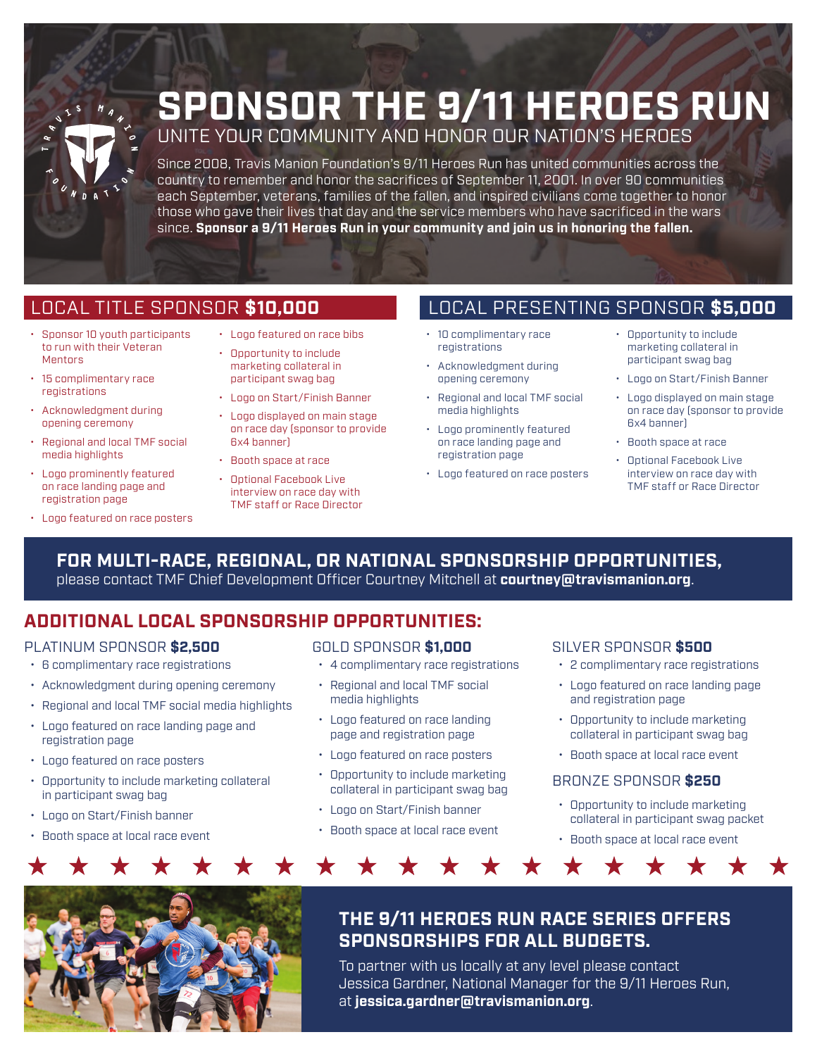

# **SPONSOR THE 9/11 HEROES RUN** UNITE YOUR COMMUNITY AND HONOR OUR NATION'S HEROES

Since 2008, Travis Manion Foundation's 9/11 Heroes Run has united communities across the country to remember and honor the sacrifices of September 11, 2001. In over 90 communities each September, veterans, families of the fallen, and inspired civilians come together to honor those who gave their lives that day and the service members who have sacrificed in the wars since. **Sponsor a 9/11 Heroes Run in your community and join us in honoring the fallen.**

## LOCAL TITLE SPONSOR **\$10,000**

- Sponsor 10 youth participants to run with their Veteran Mentors
- 15 complimentary race registrations
- Acknowledgment during opening ceremony
- Regional and local TMF social media highlights
- Logo prominently featured on race landing page and registration page
- Logo featured on race posters
- Logo featured on race bibs
- Opportunity to include marketing collateral in participant swag bag
- Logo on Start/Finish Banner
- Logo displayed on main stage on race day (sponsor to provide 6x4 banner)
- Booth space at race
- Optional Facebook Live interview on race day with TMF staff or Race Director

## LOCAL PRESENTING SPONSOR **\$5,000**

- 10 complimentary race registrations
- Acknowledgment during opening ceremony
- Regional and local TMF social media highlights
- Logo prominently featured on race landing page and registration page
- Logo featured on race posters
- Opportunity to include marketing collateral in participant swag bag
- Logo on Start/Finish Banner
- Logo displayed on main stage on race day (sponsor to provide 6x4 banner)
- Booth space at race
- Optional Facebook Live interview on race day with TMF staff or Race Director

### **FOR MULTI-RACE, REGIONAL, OR NATIONAL SPONSORSHIP OPPORTUNITIES,**  please contact TMF Chief Development Officer Courtney Mitchell at **courtney@travismanion.org**.

## **ADDITIONAL LOCAL SPONSORSHIP OPPORTUNITIES:**

#### PLATINUM SPONSOR **\$2,500**

- 6 complimentary race registrations
- Acknowledgment during opening ceremony
- Regional and local TMF social media highlights
- Logo featured on race landing page and registration page
- Logo featured on race posters
- Opportunity to include marketing collateral in participant swag bag
- Logo on Start/Finish banner
- Booth space at local race event

- 4 complimentary race registrations
- Regional and local TMF social media highlights
- Logo featured on race landing page and registration page
- Logo featured on race posters
- Opportunity to include marketing collateral in participant swag bag
- Logo on Start/Finish banner

 $\bigstar$ 

• Booth space at local race event

#### GOLD SPONSOR **\$1,000** SILVER SPONSOR **\$500**

- 2 complimentary race registrations
- Logo featured on race landing page and registration page
- Opportunity to include marketing collateral in participant swag bag
- Booth space at local race event

#### BRONZE SPONSOR **\$250**

★

- Opportunity to include marketing collateral in participant swag packet
- Booth space at local race event

 $\bigstar$ 

 $\bigstar$ 

 $\bigstar$ 



## **THE 9/11 HEROES RUN RACE SERIES OFFERS SPONSORSHIPS FOR ALL BUDGETS.**

To partner with us locally at any level please contact Jessica Gardner, National Manager for the 9/11 Heroes Run, at **jessica.gardner@travismanion.org**.